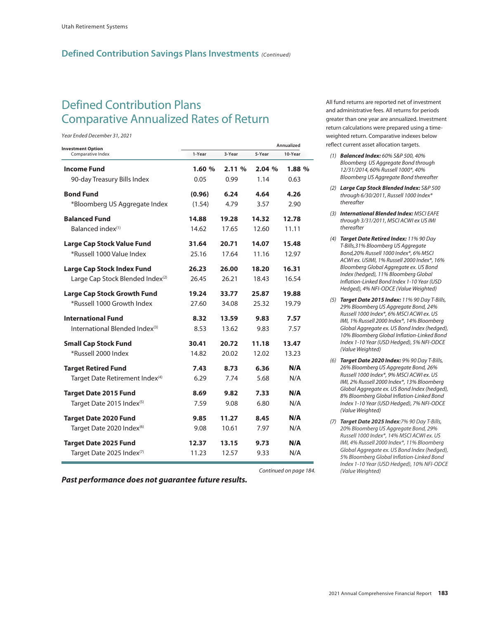## **Defined Contribution Savings Plans Investments** *(Continued)*

## Defined Contribution Plans Comparative Annualized Rates of Return *Year Ended December 31, 2021*

*Year Ended December 31, 2021*

| <b>Investment Option</b><br>Comparative Index | Annualized |        |        |         |  |
|-----------------------------------------------|------------|--------|--------|---------|--|
|                                               | 1-Year     | 3-Year | 5-Year | 10-Year |  |
| Income Fund                                   | 1.60%      | 2.11%  | 2.04%  | 1.88%   |  |
| 90-day Treasury Bills Index                   | 0.05       | 0.99   | 1.14   | 0.63    |  |
| <b>Bond Fund</b>                              | (0.96)     | 6.24   | 4.64   | 4.26    |  |
| *Bloomberg US Aggregate Index                 | (1.54)     | 4.79   | 3.57   | 2.90    |  |
| <b>Balanced Fund</b>                          | 14.88      | 19.28  | 14.32  | 12.78   |  |
| $Balanced~index^{(1)}$                        | 14.62      | 17.65  | 12.60  | 11.11   |  |
| Large Cap Stock Value Fund                    | 31.64      | 20.71  | 14.07  | 15.48   |  |
| *Russell 1000 Value Index                     | 25.16      | 17.64  | 11.16  | 12.97   |  |
| Large Cap Stock Index Fund                    | 26.23      | 26.00  | 18.20  | 16.31   |  |
| Large Cap Stock Blended Index <sup>(2)</sup>  | 26.45      | 26.21  | 18.43  | 16.54   |  |
| <b>Large Cap Stock Growth Fund</b>            | 19.24      | 33.77  | 25.87  | 19.88   |  |
| *Russell 1000 Growth Index                    | 27.60      | 34.08  | 25.32  | 19.79   |  |
| <b>International Fund</b>                     | 8.32       | 13.59  | 9.83   | 7.57    |  |
| International Blended Index <sup>(3)</sup>    | 8.53       | 13.62  | 9.83   | 7.57    |  |
| <b>Small Cap Stock Fund</b>                   | 30.41      | 20.72  | 11.18  | 13.47   |  |
| *Russell 2000 Index                           | 14.82      | 20.02  | 12.02  | 13.23   |  |
| <b>Target Retired Fund</b>                    | 7.43       | 8.73   | 6.36   | N/A     |  |
| Target Date Retirement Index <sup>(4)</sup>   | 6.29       | 7.74   | 5.68   | N/A     |  |
| <b>Target Date 2015 Fund</b>                  | 8.69       | 9.82   | 7.33   | N/A     |  |
| Target Date 2015 Index <sup>(5)</sup>         | 7.59       | 9.08   | 6.80   | N/A     |  |
| <b>Target Date 2020 Fund</b>                  | 9.85       | 11.27  | 8.45   | N/A     |  |
| Target Date 2020 Index <sup>(6)</sup>         | 9.08       | 10.61  | 7.97   | N/A     |  |
| <b>Target Date 2025 Fund</b>                  | 12.37      | 13.15  | 9.73   | N/A     |  |
| Target Date 2025 Index <sup>(7)</sup>         | 11.23      | 12.57  | 9.33   | N/A     |  |

*Past performance does not guarantee future results.*

All fund returns are reported net of investment and administrative fees. All returns for periods greater than one year are annualized. Investment return calculations were prepared using a timeweighted return. Comparative indexes below reflect current asset allocation targets.

- *(1) Balanced Index: 60% S&P 500, 40% Bloomberg US Aggregate Bond through 12/31/2014, 60% Russell 1000\*, 40% Bloomberg US Aggregate Bond thereafter*
- *(2) Large Cap Stock Blended Index: S&P 500 through 6/30/2011, Russell 1000 Index\* thereafter*
- *(3) International Blended Index: MSCI EAFE through 3/31/2011, MSCI ACWI ex US IMI thereafter*
- *(4) Target Date Retired Index: 11% 90 Day T-Bills,31% Bloomberg US Aggregate Bond,20% Russell 1000 Index\*, 6% MSCI ACWI ex. USIMI, 1% Russell 2000 Index\*, 16% Bloomberg Global Aggregate ex. US Bond Index (hedged), 11% Bloomberg Global Inflation-Linked Bond Index 1-10 Year (USD Hedged), 4% NFI-ODCE (Value Weighted)*
- *(5) Target Date 2015 Index: 11% 90 Day T-Bills, 29% Bloomberg US Aggregate Bond, 24% Russell 1000 Index\*, 6% MSCI ACWI ex. US IMI, 1% Russell 2000 Index\*, 14% Bloomberg Global Aggregate ex. US Bond Index (hedged), 10% Bloomberg Global Inflation-Linked Bond Index 1-10 Year (USD Hedged), 5% NFI-ODCE (Value Weighted)*
- *(6) Target Date 2020 Index: 9% 90 Day T-Bills, 26% Bloomberg US Aggregate Bond, 26% Russell 1000 Index\*, 9% MSCI ACWI ex. US IMI, 2% Russell 2000 Index\*, 13% Bloomberg Global Aggregate ex. US Bond Index (hedged), 8% Bloomberg Global Inflation-Linked Bond Index 1-10 Year (USD Hedged), 7% NFI-ODCE (Value Weighted)*
- *(7) Target Date 2025 Index:7% 90 Day T-Bills, 20% Bloomberg US Aggregate Bond, 29% Russell 1000 Index\*, 14% MSCI ACWI ex. US IMI, 4% Russell 2000 Index\*, 11% Bloomberg Global Aggregate ex. US Bond Index (hedged), 5% Bloomberg Global Inflation-Linked Bond Index 1-10 Year (USD Hedged), 10% NFI-ODCE*

**Continued on page 184.**